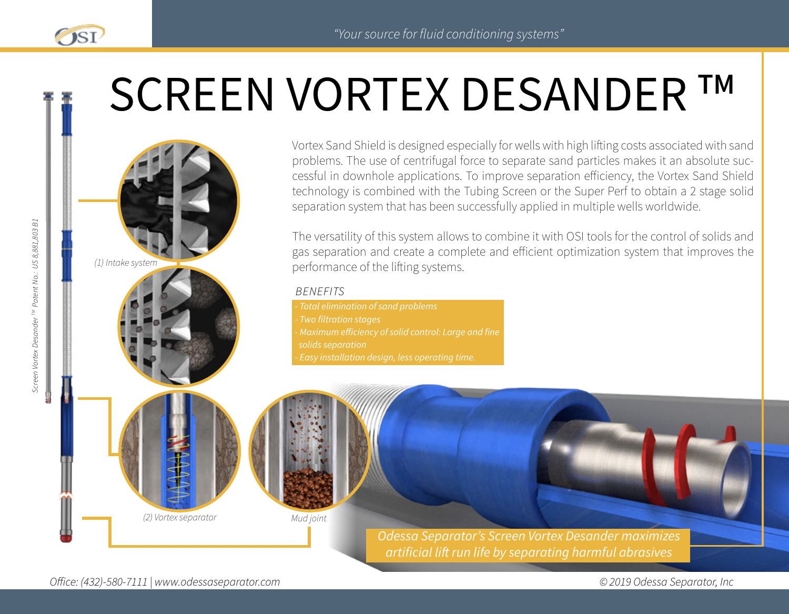# SCREEN VORTEX DESANDER **TM**

*(1) Intake system*

Vortex Sand Shield is designed especially for wells with high lifting costs associated with sand problems. The use of centrifugal force to separate sand particles makes it an absolute successful in downhole applications. To improve separation efficiency, the Vortex Sand Shield technology is combined with the Tubing Screen or the Super Perf to obtain a 2 stage solid separation system that has been successfully applied in multiple wells worldwide.

The versatility of this system allows to combine it with OSI tools for the control of solids and gas separation and create a complete and efficient optimization system that improves the performance of the lifting systems.

#### *BENEFITS*

*- Total elimination of sand problems - Two filtration stages - Maximum efficiency of solid control: Large and fine solids separation - Easy installation design, less operating time.*

*Mud joint*

*Odessa Separator's Screen Vortex Desander maximizes artificial lift run life by separating harmful abrasives*

OSI

*(2) Vortex separator*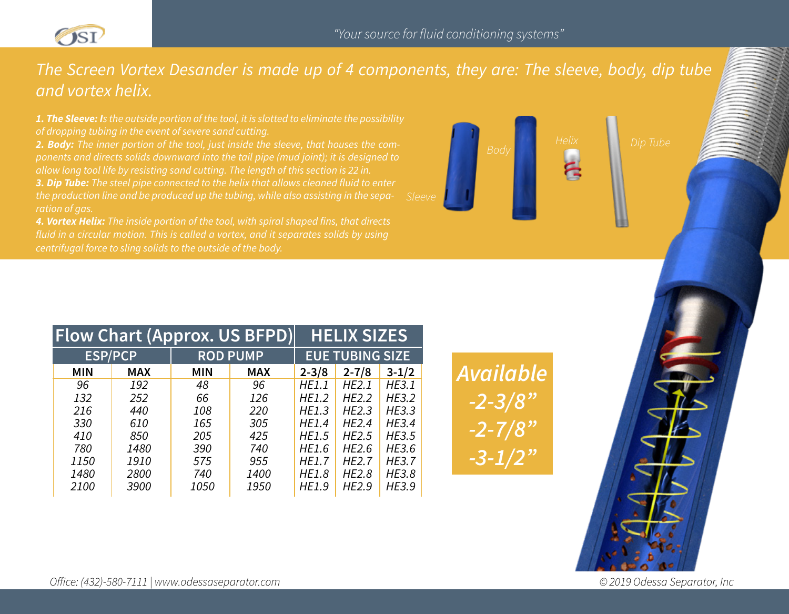

# *The Screen Vortex Desander is made up of 4 components, they are: The sleeve, body, dip tube and vortex helix.*

*1. The Sleeve: Is the outside portion of the tool, it is slotted to eliminate the possibility of dropping tubing in the event of severe sand cutting.*

*2. Body: The inner portion of the tool, just inside the sleeve, that houses the components and directs solids downward into the tail pipe (mud joint); it is designed to 3. Dip Tube: The steel pipe connected to the helix that allows cleaned fluid to enter ration of gas.*

*4. Vortex Helix: The inside portion of the tool, with spiral shaped fins, that directs centrifugal force to sling solids to the outside of the body.*



| <b>Flow Chart (Approx. US BFPD)</b> |            |                 | <b>HELIX SIZES</b> |                        |              |              |
|-------------------------------------|------------|-----------------|--------------------|------------------------|--------------|--------------|
| <b>ESP/PCP</b>                      |            | <b>ROD PUMP</b> |                    | <b>EUE TUBING SIZE</b> |              |              |
| <b>MIN</b>                          | <b>MAX</b> | <b>MIN</b>      | <b>MAX</b>         | $2 - 3/8$              | $2 - 7/8$    | $3 - 1/2$    |
| 96                                  | 192        | 48              | 96                 | HE1.1                  | HE2.1        | HE3.1        |
| 132                                 | 252        | 66              | 126                | HE1.2                  | HE2.2        | HE3.2        |
| 216                                 | 440        | 108             | 220                | HE1.3                  | HE2.3        | HE3.3        |
| 330                                 | 610        | 165             | 305                | HE1.4                  | HE2.4        | HE3.4        |
| 410                                 | 850        | 205             | 425                | HE1.5                  | HE2.5        | HE3.5        |
| 780                                 | 1480       | 390             | 740                | HE1.6                  | HE2.6        | HE3.6        |
| 1150                                | 1910       | 575             | 955                | <b>HE1.7</b>           | <b>HE2.7</b> | <b>HE3.7</b> |
| 1480                                | 2800       | 740             | 1400               | HE1.8                  | HE2.8        | HE3.8        |
| 2100                                | 3900       | 1050            | 1950               | HE1.9                  | HE2.9        | HE3.9        |

*Available -2-3/8" -2-7/8" -3-1/2"*